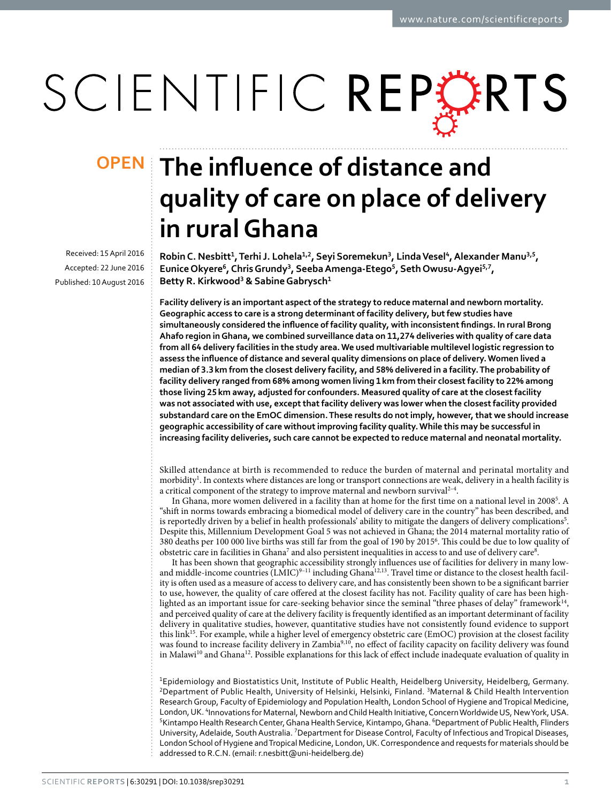# SCIENTIFIC REPERTS

Received: 15 April 2016 accepted: 22 June 2016 Published: 10 August 2016

## **The influence of distance and OPENquality of care on place of delivery in rural Ghana**

**RobinC. Nesbitt1, Terhi J. Lohela1,2, Seyi Soremekun3, LindaVesel4, Alexander Manu3,<sup>5</sup>, EuniceOkyere6, ChrisGrundy3, SeebaAmenga-Etego5, SethOwusu-Agyei5,<sup>7</sup>, Betty R. Kirkwood3 & SabineGabrysch1**

**Facility delivery is an important aspect of the strategy to reduce maternal and newborn mortality. Geographic access to care is a strong determinant of facility delivery, but few studies have simultaneously considered the influence of facility quality, with inconsistent findings. In rural Brong Ahafo region in Ghana, we combined surveillance data on 11,274 deliveries with quality of care data from all 64 delivery facilities in the study area. We used multivariable multilevel logistic regression to assess the influence of distance and several quality dimensions on place of delivery. Women lived a median of 3.3km from the closest delivery facility, and 58% delivered in a facility. The probability of facility delivery ranged from 68% among women living 1km from their closest facility to 22% among those living 25km away, adjusted for confounders. Measured quality of care at the closest facility was not associated with use, except that facility delivery was lower when the closest facility provided substandard care on the EmOC dimension. These results do not imply, however, that we should increase geographic accessibility of care without improving facility quality. While this may be successful in increasing facility deliveries, such care cannot be expected to reduce maternal and neonatal mortality.**

Skilled attendance at birth is recommended to reduce the burden of maternal and perinatal mortality and morbidity<sup>[1](#page-6-0)</sup>. In contexts where distances are long or transport connections are weak, delivery in a health facility is a critical component of the strategy to improve maternal and newborn survival<sup>2-4</sup>.

In Ghana, more women delivered in a facility than at home for the first time on a national level in 2008<sup>5</sup>. A "shift in norms towards embracing a biomedical model of delivery care in the country" has been described, and is reportedly driven by a belief in health professionals' ability to mitigate the dangers of delivery complications<sup>[5](#page-6-2)</sup>. Despite this, Millennium Development Goal 5 was not achieved in Ghana; the 2014 maternal mortality ratio of 380 deaths per 100 000 live births was still far from the goal of 190 by 2015[6](#page-6-3) . This could be due to low quality of obstetric care in facilities in Ghana<sup>7</sup> and also persistent inequalities in access to and use of delivery care<sup>[8](#page-6-5)</sup>.

It has been shown that geographic accessibility strongly influences use of facilities for delivery in many lowand middle-income countries  $(LMIC)^{9-11}$  including Ghana<sup>[12](#page-7-0),[13](#page-7-1)</sup>. Travel time or distance to the closest health facility is often used as a measure of access to delivery care, and has consistently been shown to be a significant barrier to use, however, the quality of care offered at the closest facility has not. Facility quality of care has been highlighted as an important issue for care-seeking behavior since the seminal "three phases of delay" framework<sup>14</sup>, and perceived quality of care at the delivery facility is frequently identified as an important determinant of facility delivery in qualitative studies, however, quantitative studies have not consistently found evidence to support this link[15.](#page-7-3) For example, while a higher level of emergency obstetric care (EmOC) provision at the closest facility was found to increase facility delivery in Zambia<sup>9,10</sup>, no effect of facility capacity on facility delivery was found in Malawi<sup>[10](#page-6-7)</sup> and Ghana<sup>[12](#page-7-0)</sup>. Possible explanations for this lack of effect include inadequate evaluation of quality in

<sup>1</sup>Epidemiology and Biostatistics Unit, Institute of Public Health, Heidelberg University, Heidelberg, Germany. <sup>2</sup>Department of Public Health, University of Helsinki, Helsinki, Finland. <sup>3</sup>Maternal & Child Health Intervention Research Group, Faculty of Epidemiology and Population Health, London School of Hygiene and Tropical Medicine, London, UK. <sup>4</sup> Innovations for Maternal, Newborn and Child Health Initiative, Concern Worldwide US, New York, USA. <sup>5</sup>Kintampo Health Research Center, Ghana Health Service, Kintampo, Ghana. <sup>6</sup>Department of Public Health, Flinders University, Adelaide, South Australia. <sup>7</sup>Department for Disease Control, Faculty of Infectious and Tropical Diseases, London School of Hygiene and Tropical Medicine, London, UK. Correspondence and requests for materials should be addressed to R.C.N. (email: [r.nesbitt@uni-heidelberg.de\)](mailto:r.nesbitt@uni-heidelberg.de)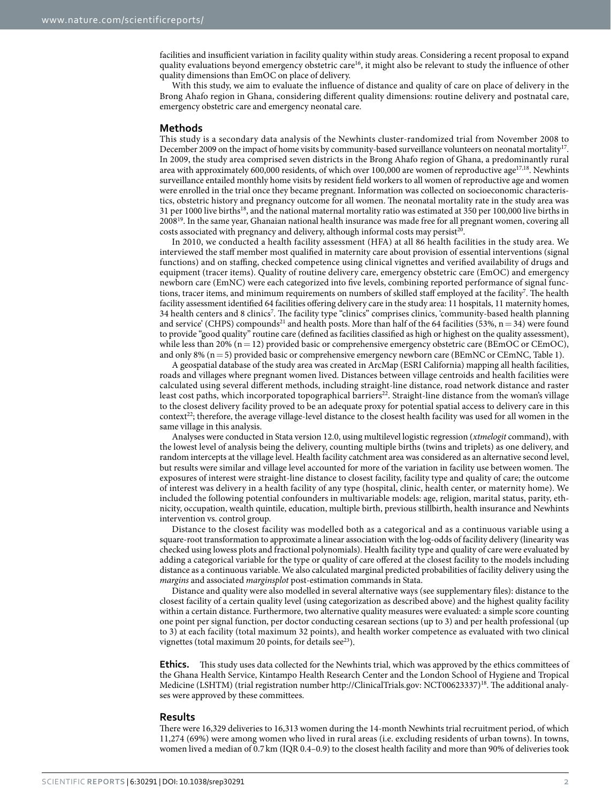facilities and insufficient variation in facility quality within study areas. Considering a recent proposal to expand quality evaluations beyond emergency obstetric care<sup>16</sup>, it might also be relevant to study the influence of other quality dimensions than EmOC on place of delivery.

With this study, we aim to evaluate the influence of distance and quality of care on place of delivery in the Brong Ahafo region in Ghana, considering different quality dimensions: routine delivery and postnatal care, emergency obstetric care and emergency neonatal care.

#### **Methods**

This study is a secondary data analysis of the Newhints cluster-randomized trial from November 2008 to December 2009 on the impact of home visits by community-based surveillance volunteers on neonatal mortality<sup>17</sup>. In 2009, the study area comprised seven districts in the Brong Ahafo region of Ghana, a predominantly rural area with approximately 600,000 residents, of which over 100,000 are women of reproductive age<sup>17,18</sup>. Newhints surveillance entailed monthly home visits by resident field workers to all women of reproductive age and women were enrolled in the trial once they became pregnant. Information was collected on socioeconomic characteristics, obstetric history and pregnancy outcome for all women. The neonatal mortality rate in the study area was 31 per 1000 live birth[s18](#page-7-6), and the national maternal mortality ratio was estimated at 350 per 100,000 live births in 2008[19.](#page-7-7) In the same year, Ghanaian national health insurance was made free for all pregnant women, covering all costs associated with pregnancy and delivery, although informal costs may persist<sup>[20](#page-7-8)</sup>.

In 2010, we conducted a health facility assessment (HFA) at all 86 health facilities in the study area. We interviewed the staff member most qualified in maternity care about provision of essential interventions (signal functions) and on staffing, checked competence using clinical vignettes and verified availability of drugs and equipment (tracer items). Quality of routine delivery care, emergency obstetric care (EmOC) and emergency newborn care (EmNC) were each categorized into five levels, combining reported performance of signal func-tions, tracer items, and minimum requirements on numbers of skilled staff employed at the facility<sup>[7](#page-6-4)</sup>. The health facility assessment identified 64 facilities offering delivery care in the study area: 11 hospitals, 11 maternity homes, 34 health centers and 8 clinics<sup>[7](#page-6-4)</sup>. The facility type "clinics" comprises clinics, 'community-based health planning and service' (CHPS) compounds<sup>[21](#page-7-9)</sup> and health posts. More than half of the 64 facilities (53%,  $n=34$ ) were found to provide "good quality" routine care (defined as facilities classified as high or highest on the quality assessment), while less than 20% ( $n=12$ ) provided basic or comprehensive emergency obstetric care (BEmOC or CEmOC), and only 8% ( $n=5$ ) provided basic or comprehensive emergency newborn care (BEmNC or CEmNC, [Table 1](#page-2-0)).

A geospatial database of the study area was created in ArcMap (ESRI California) mapping all health facilities, roads and villages where pregnant women lived. Distances between village centroids and health facilities were calculated using several different methods, including straight-line distance, road network distance and raster least cost paths, which incorporated topographical barriers<sup>[22](#page-7-10)</sup>. Straight-line distance from the woman's village to the closest delivery facility proved to be an adequate proxy for potential spatial access to delivery care in this context<sup>22</sup>; therefore, the average village-level distance to the closest health facility was used for all women in the same village in this analysis.

Analyses were conducted in Stata version 12.0, using multilevel logistic regression (*xtmelogit* command), with the lowest level of analysis being the delivery, counting multiple births (twins and triplets) as one delivery, and random intercepts at the village level. Health facility catchment area was considered as an alternative second level, but results were similar and village level accounted for more of the variation in facility use between women. The exposures of interest were straight-line distance to closest facility, facility type and quality of care; the outcome of interest was delivery in a health facility of any type (hospital, clinic, health center, or maternity home). We included the following potential confounders in multivariable models: age, religion, marital status, parity, ethnicity, occupation, wealth quintile, education, multiple birth, previous stillbirth, health insurance and Newhints intervention vs. control group.

Distance to the closest facility was modelled both as a categorical and as a continuous variable using a square-root transformation to approximate a linear association with the log-odds of facility delivery (linearity was checked using lowess plots and fractional polynomials). Health facility type and quality of care were evaluated by adding a categorical variable for the type or quality of care offered at the closest facility to the models including distance as a continuous variable. We also calculated marginal predicted probabilities of facility delivery using the *margins* and associated *marginsplot* post-estimation commands in Stata.

Distance and quality were also modelled in several alternative ways (see supplementary files): distance to the closest facility of a certain quality level (using categorization as described above) and the highest quality facility within a certain distance. Furthermore, two alternative quality measures were evaluated: a simple score counting one point per signal function, per doctor conducting cesarean sections (up to 3) and per health professional (up to 3) at each facility (total maximum 32 points), and health worker competence as evaluated with two clinical vignettes (total maximum 20 points, for details see $^{23}$ ).

**Ethics.** This study uses data collected for the Newhints trial, which was approved by the ethics committees of the Ghana Health Service, Kintampo Health Research Center and the London School of Hygiene and Tropical Medicine (LSHTM) (trial registration number [http://ClinicalTrials.gov:](http://ClinicalTrials.gov) NCT00623337)[18](#page-7-6). The additional analyses were approved by these committees.

#### **Results**

There were 16,329 deliveries to 16,313 women during the 14-month Newhints trial recruitment period, of which 11,274 (69%) were among women who lived in rural areas (i.e. excluding residents of urban towns). In towns, women lived a median of 0.7 km (IQR 0.4–0.9) to the closest health facility and more than 90% of deliveries took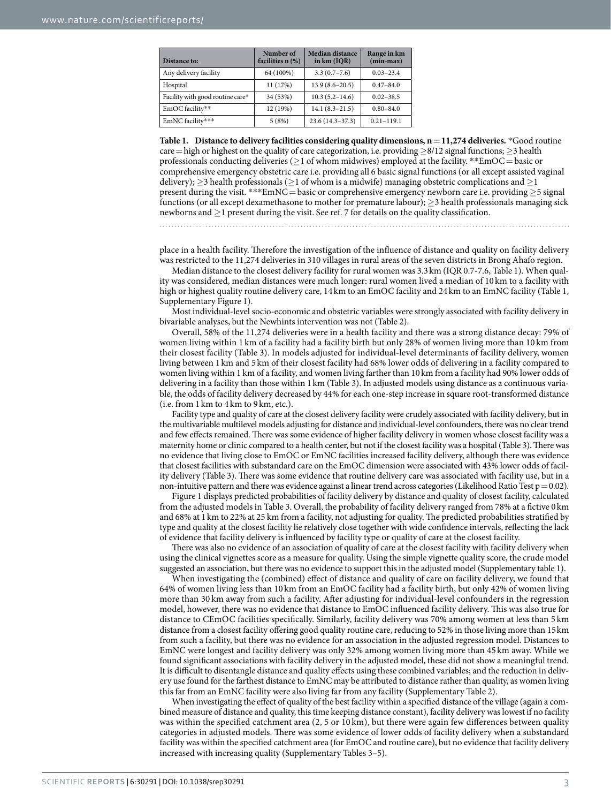<span id="page-2-0"></span>

| <b>Distance to:</b>              | Number of<br>facilities n (%) | <b>Median distance</b><br>in $km (IQR)$ | Range in km<br>$(min-max)$ |
|----------------------------------|-------------------------------|-----------------------------------------|----------------------------|
| Any delivery facility            | 64 (100%)                     | $3.3(0.7 - 7.6)$                        | $0.03 - 23.4$              |
| Hospital                         | 11 (17%)                      | $13.9(8.6 - 20.5)$                      | $0.47 - 84.0$              |
| Facility with good routine care* | 34 (53%)                      | $10.3(5.2 - 14.6)$                      | $0.02 - 38.5$              |
| EmOC facility**                  | 12 (19%)                      | $14.1(8.3-21.5)$                        | $0.80 - 84.0$              |
| EmNC facility***                 | 5(8%)                         | $23.6(14.3 - 37.3)$                     | $0.21 - 119.1$             |

**Table 1. Distance to delivery facilities considering quality dimensions, n=11,274 deliveries.** \*Good routine care=high or highest on the quality of care categorization, i.e. providing  $\geq 8/12$  signal functions;  $\geq 3$  health professionals conducting deliveries ( $\geq$ 1 of whom midwives) employed at the facility. \*\*EmOC=basic or comprehensive emergency obstetric care i.e. providing all 6 basic signal functions (or all except assisted vaginal delivery); >3 health professionals ( $\geq$ 1 of whom is a midwife) managing obstetric complications and  $\geq$ 1 present during the visit. \*\*\*EmNC=basic or comprehensive emergency newborn care i.e. providing ≥5 signal functions (or all except dexamethasone to mother for premature labour); ≥3 health professionals managing sick newborns and ≥1 present during the visit. See ref. [7](#page-6-4) for details on the quality classification.

place in a health facility. Therefore the investigation of the influence of distance and quality on facility delivery was restricted to the 11,274 deliveries in 310 villages in rural areas of the seven districts in Brong Ahafo region.

Median distance to the closest delivery facility for rural women was 3.3km (IQR 0.7-7.6, [Table 1](#page-2-0)). When quality was considered, median distances were much longer: rural women lived a median of 10 km to a facility with high or highest quality routine delivery care, 14km to an EmOC facility and 24km to an EmNC facility [\(Table 1,](#page-2-0) Supplementary Figure 1).

Most individual-level socio-economic and obstetric variables were strongly associated with facility delivery in bivariable analyses, but the Newhints intervention was not [\(Table 2\)](#page-3-0).

Overall, 58% of the 11,274 deliveries were in a health facility and there was a strong distance decay: 79% of women living within 1 km of a facility had a facility birth but only 28% of women living more than 10 km from their closest facility ([Table 3\)](#page-4-0). In models adjusted for individual-level determinants of facility delivery, women living between 1 km and 5 km of their closest facility had 68% lower odds of delivering in a facility compared to women living within 1 km of a facility, and women living farther than 10 km from a facility had 90% lower odds of delivering in a facility than those within 1 km ([Table 3](#page-4-0)). In adjusted models using distance as a continuous variable, the odds of facility delivery decreased by 44% for each one-step increase in square root-transformed distance  $(i.e. from 1 km to 4 km to 9 km, etc.).$ 

Facility type and quality of care at the closest delivery facility were crudely associated with facility delivery, but in the multivariable multilevel models adjusting for distance and individual-level confounders, there was no clear trend and few effects remained. There was some evidence of higher facility delivery in women whose closest facility was a maternity home or clinic compared to a health center, but not if the closest facility was a hospital [\(Table 3](#page-4-0)). There was no evidence that living close to EmOC or EmNC facilities increased facility delivery, although there was evidence that closest facilities with substandard care on the EmOC dimension were associated with 43% lower odds of facility delivery [\(Table 3](#page-4-0)). There was some evidence that routine delivery care was associated with facility use, but in a non-intuitive pattern and there was evidence against a linear trend across categories (Likelihood Ratio Test  $p= 0.02$ ).

[Figure 1](#page-6-8) displays predicted probabilities of facility delivery by distance and quality of closest facility, calculated from the adjusted models in [Table 3](#page-4-0). Overall, the probability of facility delivery ranged from 78% at a fictive 0km and 68% at 1km to 22% at 25 km from a facility, not adjusting for quality. The predicted probabilities stratified by type and quality at the closest facility lie relatively close together with wide confidence intervals, reflecting the lack of evidence that facility delivery is influenced by facility type or quality of care at the closest facility.

There was also no evidence of an association of quality of care at the closest facility with facility delivery when using the clinical vignettes score as a measure for quality. Using the simple vignette quality score, the crude model suggested an association, but there was no evidence to support this in the adjusted model (Supplementary table 1).

When investigating the (combined) effect of distance and quality of care on facility delivery, we found that 64% of women living less than 10 km from an EmOC facility had a facility birth, but only 42% of women living more than 30 km away from such a facility. After adjusting for individual-level confounders in the regression model, however, there was no evidence that distance to EmOC influenced facility delivery. This was also true for distance to CEmOC facilities specifically. Similarly, facility delivery was 70% among women at less than 5 km distance from a closest facility offering good quality routine care, reducing to 52% in those living more than 15km from such a facility, but there was no evidence for an association in the adjusted regression model. Distances to EmNC were longest and facility delivery was only 32% among women living more than 45 km away. While we found significant associations with facility delivery in the adjusted model, these did not show a meaningful trend. It is difficult to disentangle distance and quality effects using these combined variables; and the reduction in delivery use found for the farthest distance to EmNC may be attributed to distance rather than quality, as women living this far from an EmNC facility were also living far from any facility (Supplementary Table 2).

When investigating the effect of quality of the best facility within a specified distance of the village (again a combined measure of distance and quality, this time keeping distance constant), facility delivery was lowest if no facility was within the specified catchment area (2, 5 or 10 km), but there were again few differences between quality categories in adjusted models. There was some evidence of lower odds of facility delivery when a substandard facility was within the specified catchment area (for EmOC and routine care), but no evidence that facility delivery increased with increasing quality (Supplementary Tables 3–5).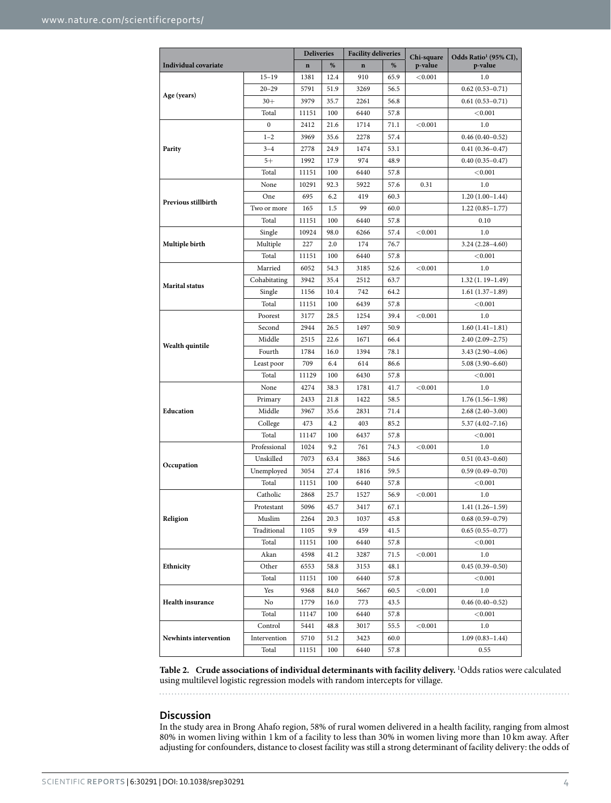<span id="page-3-0"></span>

| Individual covariate    |              | <b>Deliveries</b> |      | <b>Facility deliveries</b> |      | Chi-square | Odds Ratio <sup>1</sup> (95% CI), |
|-------------------------|--------------|-------------------|------|----------------------------|------|------------|-----------------------------------|
|                         |              | $\mathbf n$       | %    | $\bf n$                    | %    | p-value    | p-value                           |
| Age (years)             | $15 - 19$    | 1381              | 12.4 | 910                        | 65.9 | < 0.001    | 1.0                               |
|                         | $20 - 29$    | 5791              | 51.9 | 3269                       | 56.5 |            | $0.62(0.53 - 0.71)$               |
|                         | $30+$        | 3979              | 35.7 | 2261                       | 56.8 |            | $0.61(0.53 - 0.71)$               |
|                         | Total        | 11151             | 100  | 6440                       | 57.8 |            | < 0.001                           |
|                         | 0            | 2412              | 21.6 | 1714                       | 71.1 | < 0.001    | 1.0                               |
|                         | $1 - 2$      | 3969              | 35.6 | 2278                       | 57.4 |            | $0.46(0.40-0.52)$                 |
| Parity                  | $3 - 4$      | 2778              | 24.9 | 1474                       | 53.1 |            | $0.41(0.36 - 0.47)$               |
|                         | $5+$         | 1992              | 17.9 | 974                        | 48.9 |            | $0.40(0.35 - 0.47)$               |
|                         | Total        | 11151             | 100  | 6440                       | 57.8 |            | < 0.001                           |
|                         | None         | 10291             | 92.3 | 5922                       | 57.6 | 0.31       | 1.0                               |
|                         | One          | 695               | 6.2  | 419                        | 60.3 |            | $1.20(1.00-1.44)$                 |
| Previous stillbirth     | Two or more  | 165               | 1.5  | 99                         | 60.0 |            | $1.22(0.85 - 1.77)$               |
|                         | Total        | 11151             | 100  | 6440                       | 57.8 |            | 0.10                              |
|                         | Single       | 10924             | 98.0 | 6266                       | 57.4 | < 0.001    | 1.0                               |
| Multiple birth          | Multiple     | 227               | 2.0  | 174                        | 76.7 |            | $3.24(2.28 - 4.60)$               |
|                         | Total        | 11151             | 100  | 6440                       | 57.8 |            | < 0.001                           |
|                         | Married      | 6052              | 54.3 | 3185                       | 52.6 | < 0.001    | 1.0                               |
|                         | Cohabitating | 3942              | 35.4 | 2512                       | 63.7 |            | $1.32(1.19-1.49)$                 |
| <b>Marital status</b>   | Single       | 1156              | 10.4 | 742                        | 64.2 |            | $1.61(1.37-1.89)$                 |
|                         | Total        | 11151             | 100  | 6439                       | 57.8 |            | < 0.001                           |
|                         | Poorest      | 3177              | 28.5 | 1254                       | 39.4 | < 0.001    | 1.0                               |
|                         | Second       | 2944              | 26.5 | 1497                       | 50.9 |            | $1.60(1.41-1.81)$                 |
|                         | Middle       | 2515              | 22.6 | 1671                       | 66.4 |            | $2.40(2.09-2.75)$                 |
| Wealth quintile         | Fourth       | 1784              | 16.0 | 1394                       | 78.1 |            | $3.43(2.90-4.06)$                 |
|                         | Least poor   | 709               | 6.4  | 614                        | 86.6 |            | $5.08(3.90 - 6.60)$               |
|                         | Total        | 11129             | 100  | 6430                       | 57.8 |            | < 0.001                           |
|                         | None         | 4274              | 38.3 | 1781                       | 41.7 | < 0.001    | 1.0                               |
|                         | Primary      | 2433              | 21.8 | 1422                       | 58.5 |            | $1.76(1.56-1.98)$                 |
| Education               | Middle       | 3967              | 35.6 | 2831                       | 71.4 |            | $2.68(2.40-3.00)$                 |
|                         | College      | 473               | 4.2  | 403                        | 85.2 |            | $5.37(4.02 - 7.16)$               |
|                         | Total        | 11147             | 100  | 6437                       | 57.8 |            | < 0.001                           |
| Occupation              | Professional | 1024              | 9.2  | 761                        | 74.3 | < 0.001    | 1.0                               |
|                         | Unskilled    | 7073              | 63.4 | 3863                       | 54.6 |            | $0.51(0.43 - 0.60)$               |
|                         | Unemployed   | 3054              | 27.4 | 1816                       | 59.5 |            | $0.59(0.49 - 0.70)$               |
|                         | Total        | 11151             | 100  | 6440                       | 57.8 |            | < 0.001                           |
|                         | Catholic     | 2868              | 25.7 | 1527                       | 56.9 | < 0.001    | 1.0                               |
|                         | Protestant   | 5096              | 45.7 | 3417                       | 67.1 |            | $1.41(1.26-1.59)$                 |
| Religion                | Muslim       | 2264              | 20.3 | 1037                       | 45.8 |            | $0.68(0.59 - 0.79)$               |
|                         | Traditional  | 1105              | 9.9  | 459                        | 41.5 |            | $0.65(0.55 - 0.77)$               |
|                         | Total        | 11151             | 100  | 6440                       | 57.8 |            | < 0.001                           |
| Ethnicity               | Akan         | 4598              | 41.2 | 3287                       | 71.5 | < 0.001    | 1.0                               |
|                         | Other        | 6553              | 58.8 | 3153                       | 48.1 |            | $0.45(0.39-0.50)$                 |
|                         | Total        | 11151             | 100  | 6440                       | 57.8 |            | < 0.001                           |
| <b>Health insurance</b> | Yes          | 9368              | 84.0 | 5667                       | 60.5 | < 0.001    | 1.0                               |
|                         | No           | 1779              | 16.0 | 773                        | 43.5 |            | $0.46(0.40-0.52)$                 |
|                         | Total        | 11147             | 100  | 6440                       | 57.8 |            | < 0.001                           |
|                         | Control      | 5441              | 48.8 | 3017                       | 55.5 | < 0.001    | 1.0                               |
| Newhints intervention   | Intervention | 5710              | 51.2 | 3423                       | 60.0 |            | $1.09(0.83 - 1.44)$               |
|                         | Total        | 11151             | 100  | 6440                       | 57.8 |            | 0.55                              |

**Table 2. Crude associations of individual determinants with facility delivery.** <sup>1</sup> Odds ratios were calculated using multilevel logistic regression models with random intercepts for village.

### **Discussion**

In the study area in Brong Ahafo region, 58% of rural women delivered in a health facility, ranging from almost 80% in women living within 1 km of a facility to less than 30% in women living more than 10 km away. After adjusting for confounders, distance to closest facility was still a strong determinant of facility delivery: the odds of

. . . . . . . . . .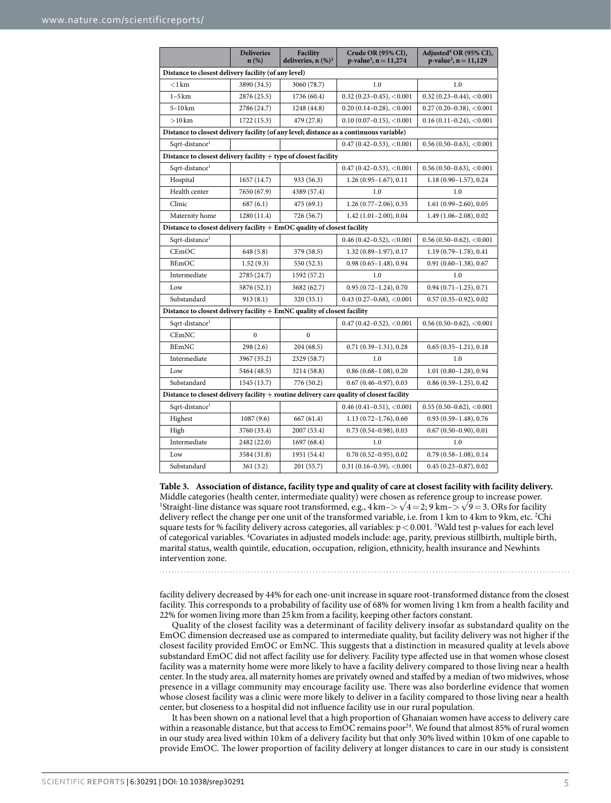<span id="page-4-0"></span>

|                                                                                           | <b>Deliveries</b><br>$\mathbf{n}(\%)$ | Facility<br>deliveries, $n (\%)^2$ | Crude OR (95% CI),<br>p-value <sup>3</sup> , $n = 11,274$ | Adjusted <sup>4</sup> OR $(95\%$ CI $)$ ,<br>p-value <sup>3</sup> , $n = 11,129$ |  |  |  |  |
|-------------------------------------------------------------------------------------------|---------------------------------------|------------------------------------|-----------------------------------------------------------|----------------------------------------------------------------------------------|--|--|--|--|
| Distance to closest delivery facility (of any level)                                      |                                       |                                    |                                                           |                                                                                  |  |  |  |  |
| $<$ 1 km                                                                                  | 3890 (34.5)                           | 3060 (78.7)                        | 1.0                                                       | 1.0                                                                              |  |  |  |  |
| $1-5$ km                                                                                  | 2876 (25.5)                           | 1736 (60.4)                        | $0.32(0.23-0.45), < 0.001$                                | $0.32(0.23-0.44), < 0.001$                                                       |  |  |  |  |
| $5-10$ km                                                                                 | 2786 (24.7)                           | 1248 (44.8)                        | $0.20(0.14-0.28), < 0.001$                                | $0.27(0.20-0.38), < 0.001$                                                       |  |  |  |  |
| $>10$ km                                                                                  | 1722 (15.3)                           | 479 (27.8)                         | $0.10(0.07-0.15), < 0.001$                                | $0.16(0.11-0.24), < 0.001$                                                       |  |  |  |  |
| Distance to closest delivery facility (of any level; distance as a continuous variable)   |                                       |                                    |                                                           |                                                                                  |  |  |  |  |
| Sqrt-distance <sup>1</sup>                                                                |                                       |                                    | $0.47(0.42 - 0.53), < 0.001$                              | $0.56(0.50-0.63), < 0.001$                                                       |  |  |  |  |
| Distance to closest delivery facility + type of closest facility                          |                                       |                                    |                                                           |                                                                                  |  |  |  |  |
| Sqrt-distance <sup>1</sup>                                                                |                                       |                                    | $0.47(0.42 - 0.53), < 0.001$                              | $0.56(0.50-0.63), < 0.001$                                                       |  |  |  |  |
| Hospital                                                                                  | 1657 (14.7)                           | 933 (56.3)                         | $1.26(0.95-1.67), 0.11$                                   | $1.18(0.90 - 1.57), 0.24$                                                        |  |  |  |  |
| Health center                                                                             | 7650 (67.9)                           | 4389 (57.4)                        | 1.0                                                       | 1.0                                                                              |  |  |  |  |
| Clinic                                                                                    | 687(6.1)                              | 475(69.1)                          | $1.26(0.77-2.06), 0.35$                                   | $1.61(0.99 - 2.60), 0.05$                                                        |  |  |  |  |
| Maternity home                                                                            | 1280 (11.4)                           | 726 (56.7)                         | $1.42(1.01-2.00), 0.04$                                   | $1.49(1.06-2.08), 0.02$                                                          |  |  |  |  |
| Distance to closest delivery facility $+$ EmOC quality of closest facility                |                                       |                                    |                                                           |                                                                                  |  |  |  |  |
| Sqrt-distance <sup>1</sup>                                                                |                                       |                                    | $0.46(0.42-0.52), < 0.001$                                | $0.56(0.50-0.62), < 0.001$                                                       |  |  |  |  |
| CEmOC                                                                                     | 648 (5.8)                             | 379 (58.5)                         | $1.32(0.89 - 1.97), 0.17$                                 | $1.19(0.79 - 1.78), 0.41$                                                        |  |  |  |  |
| <b>BEmOC</b>                                                                              | 1.52(9.3)                             | 550 (52.3)                         | $0.98(0.65 - 1.48), 0.94$                                 | $0.91(0.60 - 1.38), 0.67$                                                        |  |  |  |  |
| Intermediate                                                                              | 2785 (24.7)                           | 1592 (57.2)                        | 1.0                                                       | 1.0                                                                              |  |  |  |  |
| Low                                                                                       | 5876 (52.1)                           | 3682 (62.7)                        | $0.95(0.72 - 1.24), 0.70$                                 | $0.94(0.71 - 1.25), 0.71$                                                        |  |  |  |  |
| Substandard                                                                               | 913(8.1)                              | 320 (35.1)                         | $0.43$ (0.27-0.68), <0.001                                | $0.57(0.35-0.92), 0.02$                                                          |  |  |  |  |
| Distance to closest delivery facility $+$ EmNC quality of closest facility                |                                       |                                    |                                                           |                                                                                  |  |  |  |  |
| Sqrt-distance <sup>1</sup>                                                                |                                       |                                    | $0.47(0.42 - 0.52), < 0.001$                              | $0.56(0.50-0.62), < 0.001$                                                       |  |  |  |  |
| <b>CEmNC</b>                                                                              | $\mathbf{0}$                          | $\Omega$                           |                                                           |                                                                                  |  |  |  |  |
| <b>BEmNC</b>                                                                              | 298(2.6)                              | 204 (68.5)                         | $0.71(0.39-1.31), 0.28$                                   | $0.65(0.35-1.21), 0.18$                                                          |  |  |  |  |
| Intermediate                                                                              | 3967 (35.2)                           | 2329 (58.7)                        | 1.0                                                       | 1.0                                                                              |  |  |  |  |
| Low                                                                                       | 5464 (48.5)                           | 3214 (58.8)                        | $0.86(0.68 - 1.08), 0.20$                                 | $1.01(0.80-1.28), 0.94$                                                          |  |  |  |  |
| Substandard                                                                               | 1545 (13.7)                           | 776 (50.2)                         | $0.67(0.46 - 0.97), 0.03$                                 | $0.86$ $(0.59-1.25)$ , $0.42$                                                    |  |  |  |  |
| Distance to closest delivery facility + routine delivery care quality of closest facility |                                       |                                    |                                                           |                                                                                  |  |  |  |  |
| Sqrt-distance <sup>1</sup>                                                                |                                       |                                    | $0.46(0.41-0.51), < 0.001$                                | $0.55(0.50-0.62), < 0.001$                                                       |  |  |  |  |
| Highest                                                                                   | 1087(9.6)                             | 667 (61.4)                         | $1.13(0.72 - 1.76), 0.60$                                 | $0.93(0.59 - 1.48), 0.76$                                                        |  |  |  |  |
| High                                                                                      | 3760 (33.4)                           | 2007 (53.4)                        | $0.73(0.54 - 0.98), 0.03$                                 | $0.67(0.50-0.90), 0.01$                                                          |  |  |  |  |
| Intermediate                                                                              | 2482 (22.0)                           | 1697 (68.4)                        | 1.0                                                       | 1.0                                                                              |  |  |  |  |
| Low                                                                                       | 3584 (31.8)                           | 1951 (54.4)                        | $0.70(0.52 - 0.95), 0.02$                                 | $0.79(0.58 - 1.08), 0.14$                                                        |  |  |  |  |
| Substandard                                                                               | 361(3.2)                              | 201 (55.7)                         | $0.31$ (0.16-0.59), <0.001                                | $0.45(0.23 - 0.87), 0.02$                                                        |  |  |  |  |

**Table 3. Association of distance, facility type and quality of care at closest facility with facility delivery.** Middle categories (health center, intermediate quality) were chosen as reference group to increase power. <sup>1</sup>Straight-line distance was square root transformed, e.g.,  $4 \text{ km}$ - $> \sqrt{4}$ =2;  $9 \text{ km}$ - $> \sqrt{9}$ =3. ORs for facility delivery reflect the change per one unit of the transformed variable, i.e. from 1 km to 4 km to 9 km, etc. <sup>2</sup>Chi square tests for % facility delivery across categories, all variables:  $p < 0.001$ . <sup>3</sup>Wald test p-values for each level of categorical variables. 4 Covariates in adjusted models include: age, parity, previous stillbirth, multiple birth, marital status, wealth quintile, education, occupation, religion, ethnicity, health insurance and Newhints intervention zone.

facility delivery decreased by 44% for each one-unit increase in square root-transformed distance from the closest facility. This corresponds to a probability of facility use of 68% for women living 1 km from a health facility and

22% for women living more than 25 km from a facility, keeping other factors constant. Quality of the closest facility was a determinant of facility delivery insofar as substandard quality on the EmOC dimension decreased use as compared to intermediate quality, but facility delivery was not higher if the closest facility provided EmOC or EmNC. This suggests that a distinction in measured quality at levels above substandard EmOC did not affect facility use for delivery. Facility type affected use in that women whose closest facility was a maternity home were more likely to have a facility delivery compared to those living near a health center. In the study area, all maternity homes are privately owned and staffed by a median of two midwives, whose presence in a village community may encourage facility use. There was also borderline evidence that women whose closest facility was a clinic were more likely to deliver in a facility compared to those living near a health center, but closeness to a hospital did not influence facility use in our rural population.

It has been shown on a national level that a high proportion of Ghanaian women have access to delivery care within a reasonable distance, but that access to EmOC remains poor<sup>24</sup>. We found that almost 85% of rural women in our study area lived within 10 km of a delivery facility but that only 30% lived within 10 km of one capable to provide EmOC. The lower proportion of facility delivery at longer distances to care in our study is consistent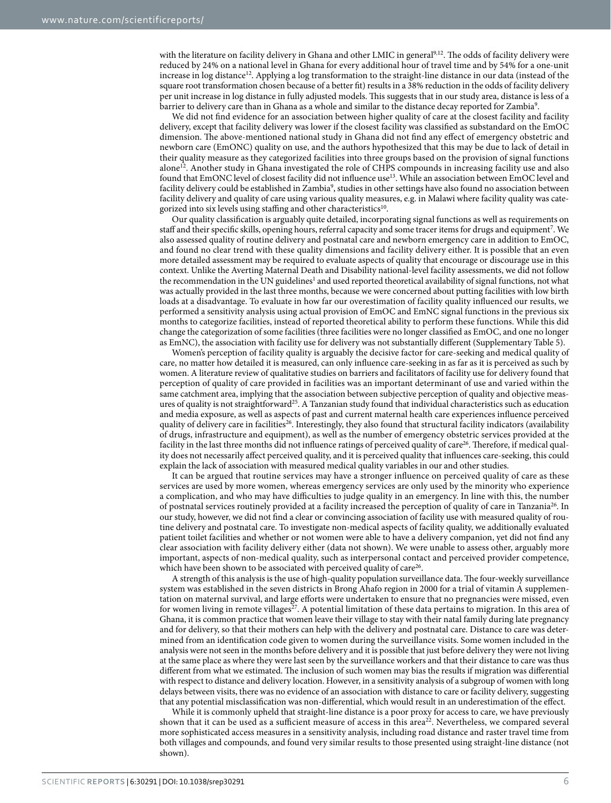with the literature on facility delivery in Ghana and other LMIC in general<sup>9,[12](#page-7-0)</sup>. The odds of facility delivery were reduced by 24% on a national level in Ghana for every additional hour of travel time and by 54% for a one-unit increase in log distance<sup>[12](#page-7-0)</sup>. Applying a log transformation to the straight-line distance in our data (instead of the square root transformation chosen because of a better fit) results in a 38% reduction in the odds of facility delivery per unit increase in log distance in fully adjusted models. This suggests that in our study area, distance is less of a barrier to delivery care than in Ghana as a whole and similar to the distance decay reported for Zambia<sup>9</sup>.

We did not find evidence for an association between higher quality of care at the closest facility and facility delivery, except that facility delivery was lower if the closest facility was classified as substandard on the EmOC dimension. The above-mentioned national study in Ghana did not find any effect of emergency obstetric and newborn care (EmONC) quality on use, and the authors hypothesized that this may be due to lack of detail in their quality measure as they categorized facilities into three groups based on the provision of signal functions alone<sup>[12](#page-7-0)</sup>. Another study in Ghana investigated the role of CHPS compounds in increasing facility use and also found that EmONC level of closest facility did not influence use[13](#page-7-1). While an association between EmOC level and facility delivery could be established in Zambia<sup>9</sup>, studies in other settings have also found no association between facility delivery and quality of care using various quality measures, e.g. in Malawi where facility quality was categorized into six levels using staffing and other characteristics<sup>10</sup>.

Our quality classification is arguably quite detailed, incorporating signal functions as well as requirements on staff and their specific skills, opening hours, referral capacity and some tracer items for drugs and equipmen[t7](#page-6-4) . We also assessed quality of routine delivery and postnatal care and newborn emergency care in addition to EmOC, and found no clear trend with these quality dimensions and facility delivery either. It is possible that an even more detailed assessment may be required to evaluate aspects of quality that encourage or discourage use in this context. Unlike the Averting Maternal Death and Disability national-level facility assessments, we did not follow the recommendation in the UN guidelines<sup>[1](#page-6-0)</sup> and used reported theoretical availability of signal functions, not what was actually provided in the last three months, because we were concerned about putting facilities with low birth loads at a disadvantage. To evaluate in how far our overestimation of facility quality influenced our results, we performed a sensitivity analysis using actual provision of EmOC and EmNC signal functions in the previous six months to categorize facilities, instead of reported theoretical ability to perform these functions. While this did change the categorization of some facilities (three facilities were no longer classified as EmOC, and one no longer as EmNC), the association with facility use for delivery was not substantially different (Supplementary Table 5).

Women's perception of facility quality is arguably the decisive factor for care-seeking and medical quality of care, no matter how detailed it is measured, can only influence care-seeking in as far as it is perceived as such by women. A literature review of qualitative studies on barriers and facilitators of facility use for delivery found that perception of quality of care provided in facilities was an important determinant of use and varied within the same catchment area, implying that the association between subjective perception of quality and objective meas-ures of quality is not straightforward<sup>[25](#page-7-13)</sup>. A Tanzanian study found that individual characteristics such as education and media exposure, as well as aspects of past and current maternal health care experiences influence perceived quality of delivery care in facilities<sup>[26](#page-7-14)</sup>. Interestingly, they also found that structural facility indicators (availability of drugs, infrastructure and equipment), as well as the number of emergency obstetric services provided at the facility in the last three months did not influence ratings of perceived quality of care<sup>26</sup>. Therefore, if medical quality does not necessarily affect perceived quality, and it is perceived quality that influences care-seeking, this could explain the lack of association with measured medical quality variables in our and other studies.

It can be argued that routine services may have a stronger influence on perceived quality of care as these services are used by more women, whereas emergency services are only used by the minority who experience a complication, and who may have difficulties to judge quality in an emergency. In line with this, the number of postnatal services routinely provided at a facility increased the perception of quality of care in Tanzania[26.](#page-7-14) In our study, however, we did not find a clear or convincing association of facility use with measured quality of routine delivery and postnatal care. To investigate non-medical aspects of facility quality, we additionally evaluated patient toilet facilities and whether or not women were able to have a delivery companion, yet did not find any clear association with facility delivery either (data not shown). We were unable to assess other, arguably more important, aspects of non-medical quality, such as interpersonal contact and perceived provider competence, which have been shown to be associated with perceived quality of care<sup>[26](#page-7-14)</sup>.

A strength of this analysis is the use of high-quality population surveillance data. The four-weekly surveillance system was established in the seven districts in Brong Ahafo region in 2000 for a trial of vitamin A supplementation on maternal survival, and large efforts were undertaken to ensure that no pregnancies were missed, even for women living in remote villages<sup>27</sup>. A potential limitation of these data pertains to migration. In this area of Ghana, it is common practice that women leave their village to stay with their natal family during late pregnancy and for delivery, so that their mothers can help with the delivery and postnatal care. Distance to care was determined from an identification code given to women during the surveillance visits. Some women included in the analysis were not seen in the months before delivery and it is possible that just before delivery they were not living at the same place as where they were last seen by the surveillance workers and that their distance to care was thus different from what we estimated. The inclusion of such women may bias the results if migration was differential with respect to distance and delivery location. However, in a sensitivity analysis of a subgroup of women with long delays between visits, there was no evidence of an association with distance to care or facility delivery, suggesting that any potential misclassification was non-differential, which would result in an underestimation of the effect.

While it is commonly upheld that straight-line distance is a poor proxy for access to care, we have previously shown that it can be used as a sufficient measure of access in this area<sup>22</sup>. Nevertheless, we compared several more sophisticated access measures in a sensitivity analysis, including road distance and raster travel time from both villages and compounds, and found very similar results to those presented using straight-line distance (not shown).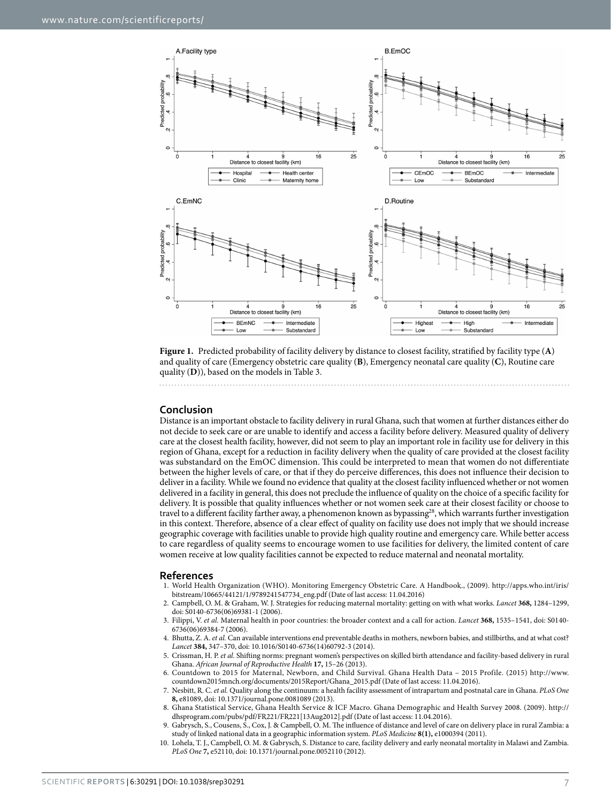

<span id="page-6-8"></span>**Figure 1.** Predicted probability of facility delivery by distance to closest facility, stratified by facility type (**A**) and quality of care (Emergency obstetric care quality (**B**), Emergency neonatal care quality (**C**), Routine care quality (**D**)), based on the models in [Table 3.](#page-4-0)

#### **Conclusion**

Distance is an important obstacle to facility delivery in rural Ghana, such that women at further distances either do not decide to seek care or are unable to identify and access a facility before delivery. Measured quality of delivery care at the closest health facility, however, did not seem to play an important role in facility use for delivery in this region of Ghana, except for a reduction in facility delivery when the quality of care provided at the closest facility was substandard on the EmOC dimension. This could be interpreted to mean that women do not differentiate between the higher levels of care, or that if they do perceive differences, this does not influence their decision to deliver in a facility. While we found no evidence that quality at the closest facility influenced whether or not women delivered in a facility in general, this does not preclude the influence of quality on the choice of a specific facility for delivery. It is possible that quality influences whether or not women seek care at their closest facility or choose to travel to a different facility farther away, a phenomenon known as bypassing<sup>28</sup>, which warrants further investigation in this context. Therefore, absence of a clear effect of quality on facility use does not imply that we should increase geographic coverage with facilities unable to provide high quality routine and emergency care. While better access to care regardless of quality seems to encourage women to use facilities for delivery, the limited content of care women receive at low quality facilities cannot be expected to reduce maternal and neonatal mortality.

#### **References**

- <span id="page-6-0"></span>1. World Health Organization (WHO). Monitoring Emergency Obstetric Care. A Handbook., (2009). [http://apps.who.int/iris/](< http://apps.who.int/iris/bitstream/10665/44121/1/9789241547734_eng.pdf>) [bitstream/10665/44121/1/9789241547734\\_eng.pdf](< http://apps.who.int/iris/bitstream/10665/44121/1/9789241547734_eng.pdf>) (Date of last access: 11.04.2016)
- <span id="page-6-1"></span>2. Campbell, O. M. & Graham, W. J. Strategies for reducing maternal mortality: getting on with what works. *Lancet* **368,** 1284–1299, doi: S0140-6736(06)69381-1 (2006).
- 3. Filippi, V. *et al.* Maternal health in poor countries: the broader context and a call for action. *Lancet* **368,** 1535–1541, doi: S0140- 6736(06)69384-7 (2006).
- 4. Bhutta, Z. A. *et al.* Can available interventions end preventable deaths in mothers, newborn babies, and stillbirths, and at what cost? Lancet 384, 347-370, doi: 10.1016/S0140-6736(14)60792-3 (2014).
- <span id="page-6-2"></span>5. Crissman, H. P. *et al.* Shifting norms: pregnant women's perspectives on skilled birth attendance and facility-based delivery in rural Ghana. *African Journal of Reproductive Health* **17,** 15–26 (2013).
- <span id="page-6-3"></span>6. Countdown to 2015 for Maternal, Newborn, and Child Survival. Ghana Health Data – 2015 Profile. (2015) [http://www.](<http://www.countdown2015mnch.org/documents/2015Report/Ghana_2015.pdf>) [countdown2015mnch.org/documents/2015Report/Ghana\\_2015.pdf](<http://www.countdown2015mnch.org/documents/2015Report/Ghana_2015.pdf>) (Date of last access: 11.04.2016).
- <span id="page-6-4"></span>7. Nesbitt, R. C. *et al.* Quality along the continuum: a health facility assessment of intrapartum and postnatal care in Ghana. *PLoS One* **8,** e81089, doi: 10.1371/journal.pone.0081089 (2013).
- <span id="page-6-5"></span>8. Ghana Statistical Service, Ghana Health Service & ICF Macro. Ghana Demographic and Health Survey 2008. (2009). [http://](<http://dhsprogram.com/pubs/pdf/FR221/FR221[13Aug2012].pdf>) [dhsprogram.com/pubs/pdf/FR221/FR221\[13Aug2012\].pdf](<http://dhsprogram.com/pubs/pdf/FR221/FR221[13Aug2012].pdf>) (Date of last access: 11.04.2016).
- <span id="page-6-6"></span>9. Gabrysch, S., Cousens, S., Cox, J. & Campbell, O. M. The influence of distance and level of care on delivery place in rural Zambia: a study of linked national data in a geographic information system. *PLoS Medicine* **8(1),** e1000394 (2011).
- <span id="page-6-7"></span>10. Lohela, T. J., Campbell, O. M. & Gabrysch, S. Distance to care, facility delivery and early neonatal mortality in Malawi and Zambia. *PLoS One* **7,** e52110, doi: 10.1371/journal.pone.0052110 (2012).